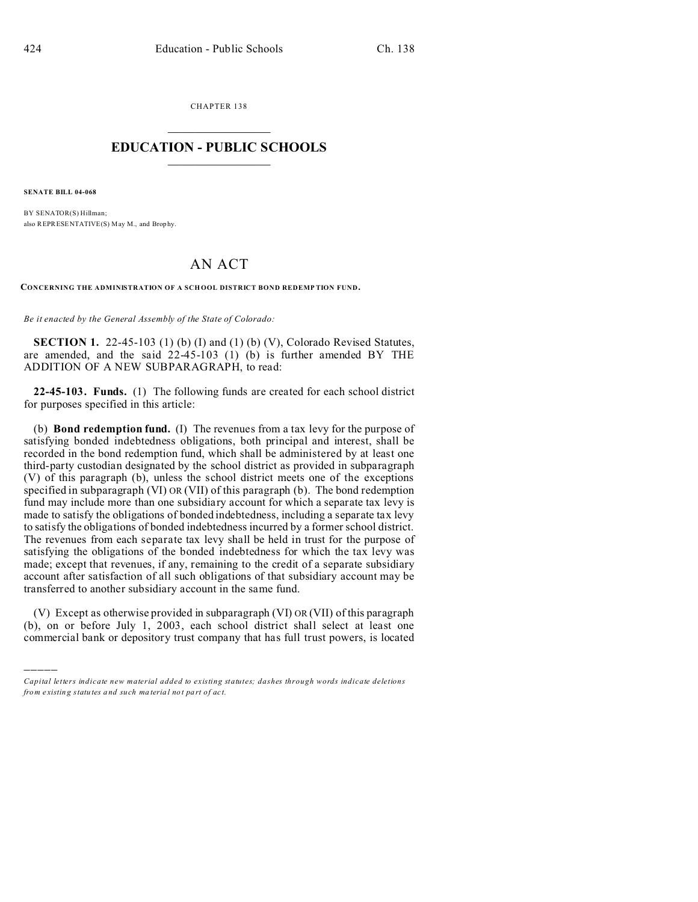CHAPTER 138  $\overline{\phantom{a}}$  , where  $\overline{\phantom{a}}$ 

## **EDUCATION - PUBLIC SCHOOLS**  $\_$   $\_$   $\_$   $\_$   $\_$   $\_$   $\_$   $\_$   $\_$

**SENATE BILL 04-068**

)))))

BY SENATOR(S) Hillman; also REPRESENTATIVE(S) May M., and Brop hy.

## AN ACT

**CONCERNING THE ADMINISTRATION OF A SCH OOL DISTRICT BOND REDEMP TION FUND.**

*Be it enacted by the General Assembly of the State of Colorado:*

**SECTION 1.** 22-45-103 (1) (b) (I) and (1) (b) (V), Colorado Revised Statutes, are amended, and the said 22-45-103 (1) (b) is further amended BY THE ADDITION OF A NEW SUBPARAGRAPH, to read:

**22-45-103. Funds.** (1) The following funds are created for each school district for purposes specified in this article:

(b) **Bond redemption fund.** (I) The revenues from a tax levy for the purpose of satisfying bonded indebtedness obligations, both principal and interest, shall be recorded in the bond redemption fund, which shall be administered by at least one third-party custodian designated by the school district as provided in subparagraph (V) of this paragraph (b), unless the school district meets one of the exceptions specified in subparagraph (VI) OR (VII) of this paragraph (b). The bond redemption fund may include more than one subsidiary account for which a separate tax levy is made to satisfy the obligations of bonded indebtedness, including a separate tax levy to satisfy the obligations of bonded indebtedness incurred by a former school district. The revenues from each separate tax levy shall be held in trust for the purpose of satisfying the obligations of the bonded indebtedness for which the tax levy was made; except that revenues, if any, remaining to the credit of a separate subsidiary account after satisfaction of all such obligations of that subsidiary account may be transferred to another subsidiary account in the same fund.

(V) Except as otherwise provided in subparagraph (VI) OR (VII) of this paragraph (b), on or before July 1, 2003, each school district shall select at least one commercial bank or depository trust company that has full trust powers, is located

*Capital letters indicate new material added to existing statutes; dashes through words indicate deletions from e xistin g statu tes a nd such ma teria l no t pa rt of ac t.*